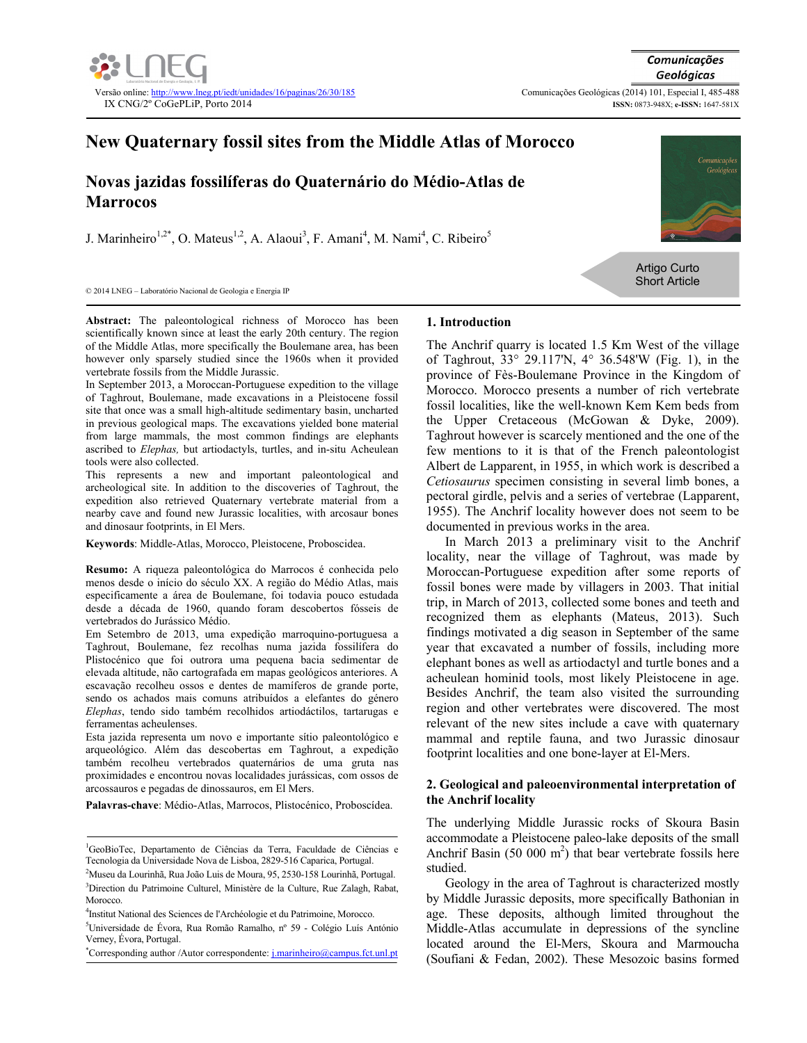

# **New Quaternary fossil sites from the Middle Atlas of Morocco**

## **Novas jazidas fossilíferas do Quaternário do Médio-Atlas de Marrocos**

J. Marinheiro<sup>1,2\*</sup>, O. Mateus<sup>1,2</sup>, A. Alaoui<sup>3</sup>, F. Amani<sup>4</sup>, M. Nami<sup>4</sup>, C. Ribeiro<sup>5</sup>



Artigo Curto Short Article

© 2014 LNEG – Laboratório Nacional de Geologia e Energia IP

**Abstract:** The paleontological richness of Morocco has been scientifically known since at least the early 20th century. The region of the Middle Atlas, more specifically the Boulemane area, has been however only sparsely studied since the 1960s when it provided vertebrate fossils from the Middle Jurassic.

In September 2013, a Moroccan-Portuguese expedition to the village of Taghrout, Boulemane, made excavations in a Pleistocene fossil site that once was a small high-altitude sedimentary basin, uncharted in previous geological maps. The excavations yielded bone material from large mammals, the most common findings are elephants ascribed to *Elephas,* but artiodactyls, turtles, and in-situ Acheulean tools were also collected.

This represents a new and important paleontological and archeological site. In addition to the discoveries of Taghrout, the expedition also retrieved Quaternary vertebrate material from a nearby cave and found new Jurassic localities, with arcosaur bones and dinosaur footprints, in El Mers.

**Keywords**: Middle-Atlas, Morocco, Pleistocene, Proboscidea.

**Resumo:** A riqueza paleontológica do Marrocos é conhecida pelo menos desde o início do século XX. A região do Médio Atlas, mais especificamente a área de Boulemane, foi todavia pouco estudada desde a década de 1960, quando foram descobertos fósseis de vertebrados do Jurássico Médio.

Em Setembro de 2013, uma expedição marroquino-portuguesa a Taghrout, Boulemane, fez recolhas numa jazida fossilífera do Plistocénico que foi outrora uma pequena bacia sedimentar de elevada altitude, não cartografada em mapas geológicos anteriores. A escavação recolheu ossos e dentes de mamíferos de grande porte, sendo os achados mais comuns atribuídos a elefantes do género *Elephas*, tendo sido também recolhidos artiodáctilos, tartarugas e ferramentas acheulenses.

Esta jazida representa um novo e importante sítio paleontológico e arqueológico. Além das descobertas em Taghrout, a expedição também recolheu vertebrados quaternários de uma gruta nas proximidades e encontrou novas localidades jurássicas, com ossos de arcossauros e pegadas de dinossauros, em El Mers.

**Palavras-chave**: Médio-Atlas, Marrocos, Plistocénico, Proboscídea.

### **1. Introduction**

The Anchrif quarry is located 1.5 Km West of the village of Taghrout, 33° 29.117'N, 4° 36.548'W (Fig. 1), in the province of Fès-Boulemane Province in the Kingdom of Morocco. Morocco presents a number of rich vertebrate fossil localities, like the well-known Kem Kem beds from the Upper Cretaceous (McGowan & Dyke, 2009). Taghrout however is scarcely mentioned and the one of the few mentions to it is that of the French paleontologist Albert de Lapparent, in 1955, in which work is described a *Cetiosaurus* specimen consisting in several limb bones, a pectoral girdle, pelvis and a series of vertebrae (Lapparent, 1955). The Anchrif locality however does not seem to be documented in previous works in the area.

In March 2013 a preliminary visit to the Anchrif locality, near the village of Taghrout, was made by Moroccan-Portuguese expedition after some reports of fossil bones were made by villagers in 2003. That initial trip, in March of 2013, collected some bones and teeth and recognized them as elephants (Mateus, 2013). Such findings motivated a dig season in September of the same year that excavated a number of fossils, including more elephant bones as well as artiodactyl and turtle bones and a acheulean hominid tools, most likely Pleistocene in age. Besides Anchrif, the team also visited the surrounding region and other vertebrates were discovered. The most relevant of the new sites include a cave with quaternary mammal and reptile fauna, and two Jurassic dinosaur footprint localities and one bone-layer at El-Mers.

#### **2. Geological and paleoenvironmental interpretation of the Anchrif locality**

The underlying Middle Jurassic rocks of Skoura Basin accommodate a Pleistocene paleo-lake deposits of the small Anchrif Basin  $(50, 000 \text{ m}^2)$  that bear vertebrate fossils here studied.

Geology in the area of Taghrout is characterized mostly by Middle Jurassic deposits, more specifically Bathonian in age. These deposits, although limited throughout the Middle-Atlas accumulate in depressions of the syncline located around the El-Mers, Skoura and Marmoucha (Soufiani & Fedan, 2002). These Mesozoic basins formed

<sup>&</sup>lt;sup>1</sup>GeoBioTec, Departamento de Ciências da Terra, Faculdade de Ciências e Tecnologia da Universidade Nova de Lisboa, 2829-516 Caparica, Portugal. 2

<sup>&</sup>lt;sup>2</sup>Museu da Lourinhã, Rua João Luis de Moura, 95, 2530-158 Lourinhã, Portugal. <sup>3</sup>Direction du Patrimoine Culturel, Ministère de la Culture, Rue Zalagh, Rabat, Morocco.

<sup>&</sup>lt;sup>4</sup>Institut National des Sciences de l'Archéologie et du Patrimoine, Morocco.<br><sup>5</sup>Universidade de Éures, Due Demãs, Demalha, nº 50. Calásia Luís An

Universidade de Évora, Rua Romão Ramalho, nº 59 - Colégio Luís António Verney, Évora, Portugal.

<sup>\*</sup>Corresponding author /Autor correspondente: j.marinheiro@campus.fct.unl.pt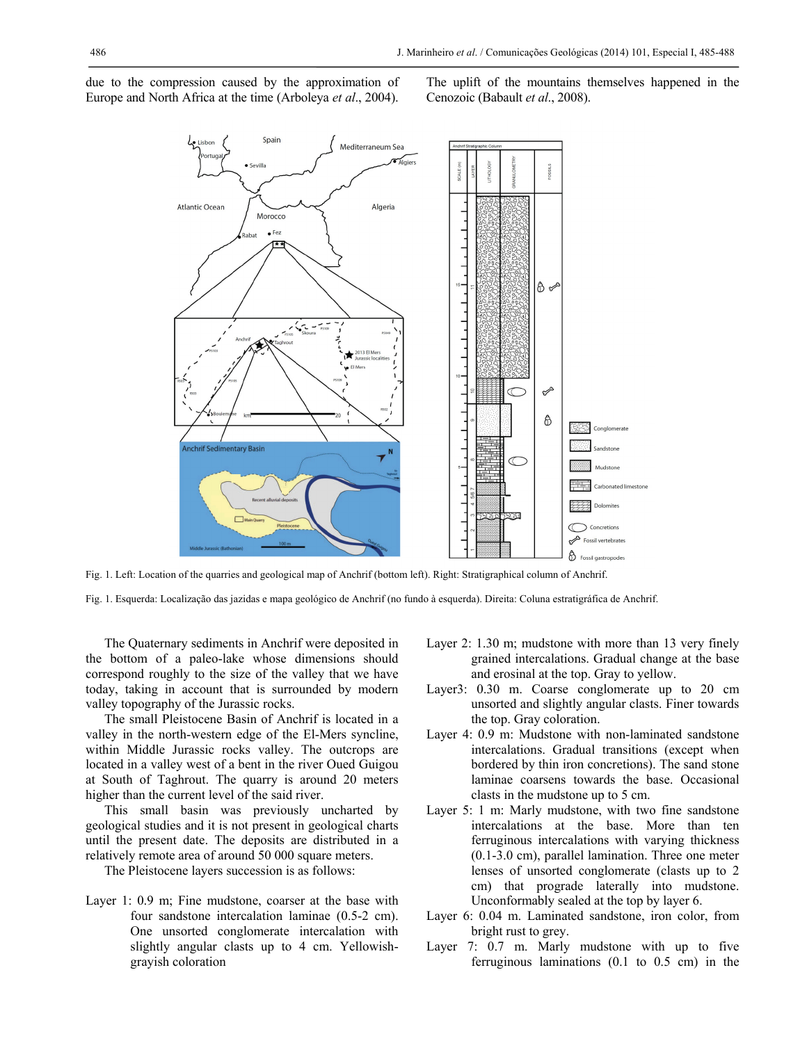due to the compression caused by the approximation of Europe and North Africa at the time (Arboleya *et al*., 2004). The uplift of the mountains themselves happened in the Cenozoic (Babault *et al*., 2008).



Fig. 1. Left: Location of the quarries and geological map of Anchrif (bottom left). Right: Stratigraphical column of Anchrif.

Fig. 1. Esquerda: Localização das jazidas e mapa geológico de Anchrif (no fundo à esquerda). Direita: Coluna estratigráfica de Anchrif.

The Quaternary sediments in Anchrif were deposited in the bottom of a paleo-lake whose dimensions should correspond roughly to the size of the valley that we have today, taking in account that is surrounded by modern valley topography of the Jurassic rocks.

The small Pleistocene Basin of Anchrif is located in a valley in the north-western edge of the El-Mers syncline, within Middle Jurassic rocks valley. The outcrops are located in a valley west of a bent in the river Oued Guigou at South of Taghrout. The quarry is around 20 meters higher than the current level of the said river.

This small basin was previously uncharted by geological studies and it is not present in geological charts until the present date. The deposits are distributed in a relatively remote area of around 50 000 square meters.

The Pleistocene layers succession is as follows:

Layer 1: 0.9 m; Fine mudstone, coarser at the base with four sandstone intercalation laminae (0.5-2 cm). One unsorted conglomerate intercalation with slightly angular clasts up to 4 cm. Yellowishgrayish coloration

- Layer 2: 1.30 m; mudstone with more than 13 very finely grained intercalations. Gradual change at the base and erosinal at the top. Gray to yellow.
- Layer3: 0.30 m. Coarse conglomerate up to 20 cm unsorted and slightly angular clasts. Finer towards the top. Gray coloration.
- Layer 4: 0.9 m: Mudstone with non-laminated sandstone intercalations. Gradual transitions (except when bordered by thin iron concretions). The sand stone laminae coarsens towards the base. Occasional clasts in the mudstone up to 5 cm.
- Layer 5: 1 m: Marly mudstone, with two fine sandstone intercalations at the base. More than ten ferruginous intercalations with varying thickness (0.1-3.0 cm), parallel lamination. Three one meter lenses of unsorted conglomerate (clasts up to 2 cm) that prograde laterally into mudstone. Unconformably sealed at the top by layer 6.
- Layer 6: 0.04 m. Laminated sandstone, iron color, from bright rust to grey.
- Layer 7: 0.7 m. Marly mudstone with up to five ferruginous laminations (0.1 to 0.5 cm) in the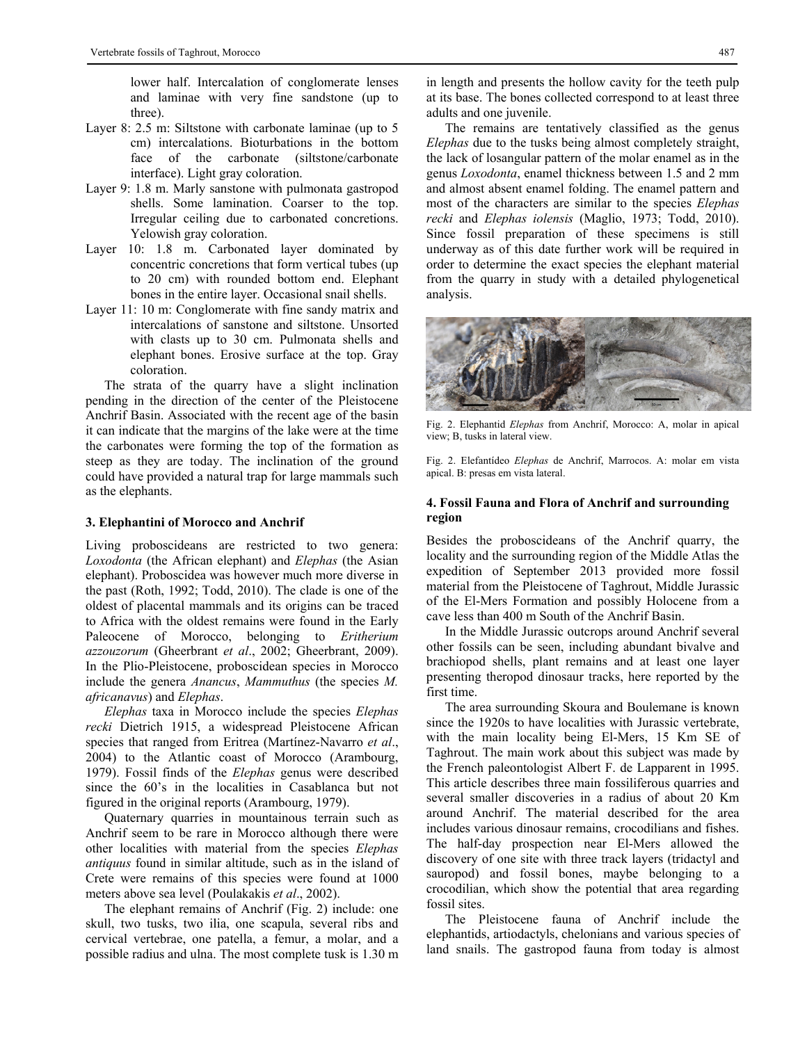lower half. Intercalation of conglomerate lenses and laminae with very fine sandstone (up to three).

- Layer 8: 2.5 m: Siltstone with carbonate laminae (up to 5 cm) intercalations. Bioturbations in the bottom face of the carbonate (siltstone/carbonate interface). Light gray coloration.
- Layer 9: 1.8 m. Marly sanstone with pulmonata gastropod shells. Some lamination. Coarser to the top. Irregular ceiling due to carbonated concretions. Yelowish gray coloration.
- Layer 10: 1.8 m. Carbonated layer dominated by concentric concretions that form vertical tubes (up to 20 cm) with rounded bottom end. Elephant bones in the entire layer. Occasional snail shells.
- Layer 11: 10 m: Conglomerate with fine sandy matrix and intercalations of sanstone and siltstone. Unsorted with clasts up to 30 cm. Pulmonata shells and elephant bones. Erosive surface at the top. Gray coloration.

The strata of the quarry have a slight inclination pending in the direction of the center of the Pleistocene Anchrif Basin. Associated with the recent age of the basin it can indicate that the margins of the lake were at the time the carbonates were forming the top of the formation as steep as they are today. The inclination of the ground could have provided a natural trap for large mammals such as the elephants.

#### **3. Elephantini of Morocco and Anchrif**

Living proboscideans are restricted to two genera: *Loxodonta* (the African elephant) and *Elephas* (the Asian elephant). Proboscidea was however much more diverse in the past (Roth, 1992; Todd, 2010). The clade is one of the oldest of placental mammals and its origins can be traced to Africa with the oldest remains were found in the Early Paleocene of Morocco, belonging to *Eritherium azzouzorum* (Gheerbrant *et al*., 2002; Gheerbrant, 2009). In the Plio-Pleistocene, proboscidean species in Morocco include the genera *Anancus*, *Mammuthus* (the species *M. africanavus*) and *Elephas*.

*Elephas* taxa in Morocco include the species *Elephas recki* Dietrich 1915, a widespread Pleistocene African species that ranged from Eritrea (Martínez-Navarro *et al*., 2004) to the Atlantic coast of Morocco (Arambourg, 1979). Fossil finds of the *Elephas* genus were described since the 60's in the localities in Casablanca but not figured in the original reports (Arambourg, 1979).

Quaternary quarries in mountainous terrain such as Anchrif seem to be rare in Morocco although there were other localities with material from the species *Elephas antiquus* found in similar altitude, such as in the island of Crete were remains of this species were found at 1000 meters above sea level (Poulakakis *et al*., 2002).

The elephant remains of Anchrif (Fig. 2) include: one skull, two tusks, two ilia, one scapula, several ribs and cervical vertebrae, one patella, a femur, a molar, and a possible radius and ulna. The most complete tusk is 1.30 m

in length and presents the hollow cavity for the teeth pulp at its base. The bones collected correspond to at least three adults and one juvenile.

The remains are tentatively classified as the genus *Elephas* due to the tusks being almost completely straight, the lack of losangular pattern of the molar enamel as in the genus *Loxodonta*, enamel thickness between 1.5 and 2 mm and almost absent enamel folding. The enamel pattern and most of the characters are similar to the species *Elephas recki* and *Elephas iolensis* (Maglio, 1973; Todd, 2010). Since fossil preparation of these specimens is still underway as of this date further work will be required in order to determine the exact species the elephant material from the quarry in study with a detailed phylogenetical analysis.



Fig. 2. Elephantid *Elephas* from Anchrif, Morocco: A, molar in apical view; B, tusks in lateral view.

Fig. 2. Elefantídeo *Elephas* de Anchrif, Marrocos. A: molar em vista apical. B: presas em vista lateral.

#### **4. Fossil Fauna and Flora of Anchrif and surrounding region**

Besides the proboscideans of the Anchrif quarry, the locality and the surrounding region of the Middle Atlas the expedition of September 2013 provided more fossil material from the Pleistocene of Taghrout, Middle Jurassic of the El-Mers Formation and possibly Holocene from a cave less than 400 m South of the Anchrif Basin.

In the Middle Jurassic outcrops around Anchrif several other fossils can be seen, including abundant bivalve and brachiopod shells, plant remains and at least one layer presenting theropod dinosaur tracks, here reported by the first time.

The area surrounding Skoura and Boulemane is known since the 1920s to have localities with Jurassic vertebrate, with the main locality being El-Mers, 15 Km SE of Taghrout. The main work about this subject was made by the French paleontologist Albert F. de Lapparent in 1995. This article describes three main fossiliferous quarries and several smaller discoveries in a radius of about 20 Km around Anchrif. The material described for the area includes various dinosaur remains, crocodilians and fishes. The half-day prospection near El-Mers allowed the discovery of one site with three track layers (tridactyl and sauropod) and fossil bones, maybe belonging to a crocodilian, which show the potential that area regarding fossil sites.

The Pleistocene fauna of Anchrif include the elephantids, artiodactyls, chelonians and various species of land snails. The gastropod fauna from today is almost